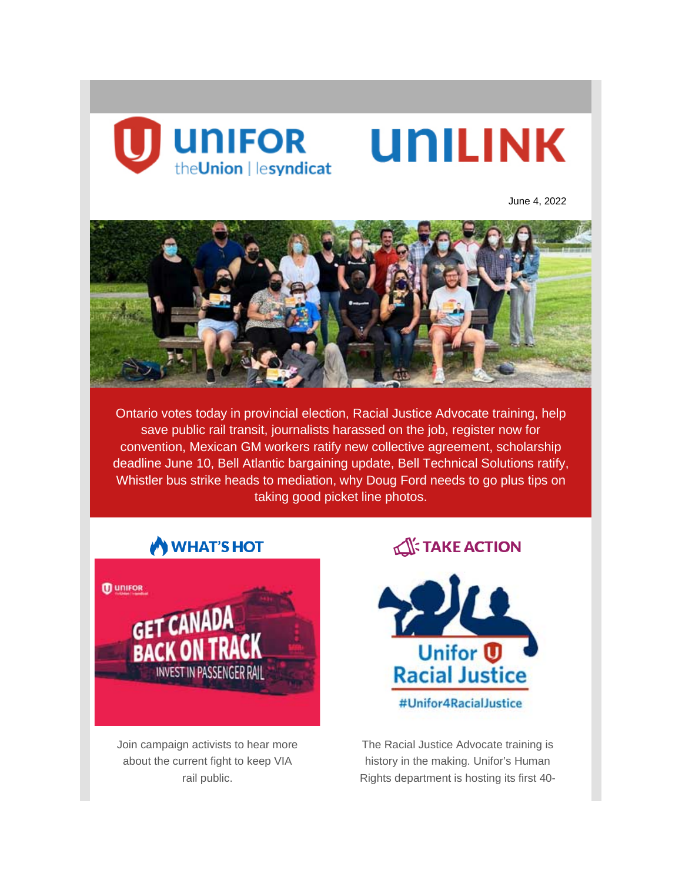

June 4, 2022



Ontario votes today in provincial election, Racial Justice Advocate training, help save public rail transit, journalists harassed on the job, register now for convention, Mexican GM workers ratify new collective agreement, scholarship deadline June 10, Bell Atlantic bargaining update, Bell Technical Solutions ratify, Whistler bus strike heads to mediation, why Doug Ford needs to go plus tips on taking good picket line photos.





Join campaign activists to hear more about the current fight to keep VIA rail public.

# **TAKE ACTION**



The Racial Justice Advocate training is history in the making. Unifor's Human Rights department is hosting its first 40-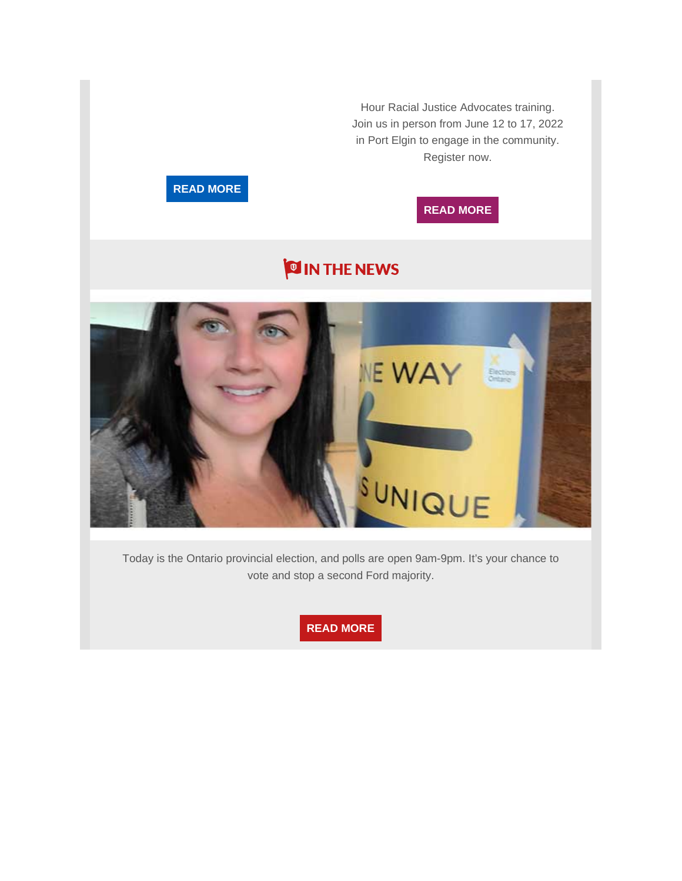Hour Racial Justice Advocates training. Join us in person from June 12 to 17, 2022 in Port Elgin to engage in the community. Register now.

# **READ [MORE](https://backontrack.unifor.org/get_canada_back_on_track_a_webinar_supporting_via_rail)**

## **READ [MORE](https://www.unifor.org/news/events/unifor-racial-justice-40-hour-training)**

# **OIN THE NEWS**



Today is the Ontario provincial election, and polls are open 9am-9pm. It's your chance to vote and stop a second Ford majority.

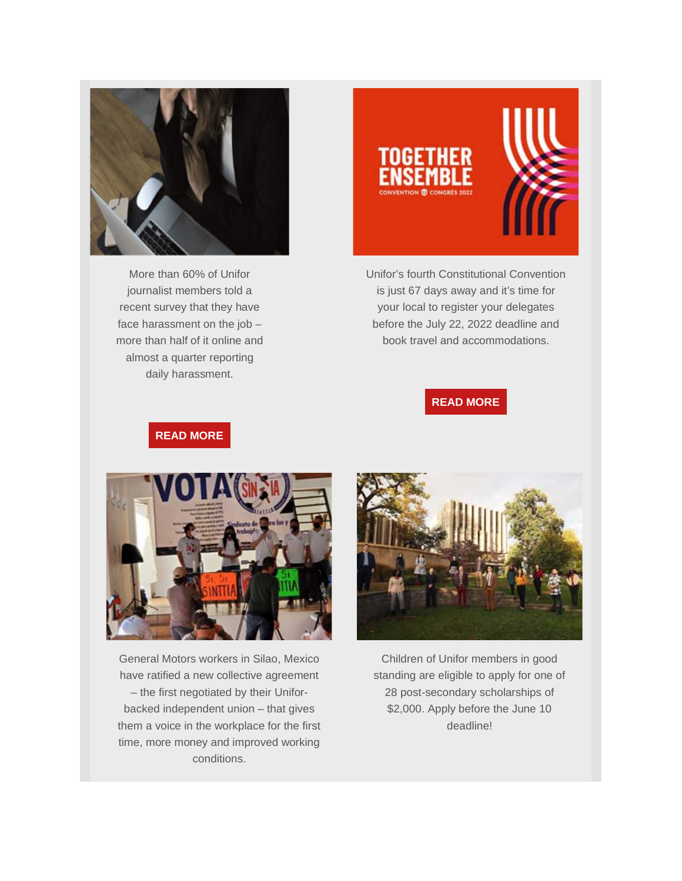

More than 60% of Unifor journalist members told a recent survey that they have face harassment on the job – more than half of it online and almost a quarter reporting daily harassment.



Unifor's fourth Constitutional Convention is just 67 days away and it's time for your local to register your delegates before the July 22, 2022 deadline and book travel and accommodations.

### **READ [MORE](https://www.unifor.org/news/all-news/register-now-unifors-fourth-constitutional-convention)**

## **READ [MORE](https://www.unifor.org/news/all-news/unifor-survey-journalists-face-rising-harassment)**



General Motors workers in Silao, Mexico have ratified a new collective agreement – the first negotiated by their Uniforbacked independent union – that gives them a voice in the workplace for the first time, more money and improved working conditions.



Children of Unifor members in good standing are eligible to apply for one of 28 post-secondary scholarships of \$2,000. Apply before the June 10 deadline!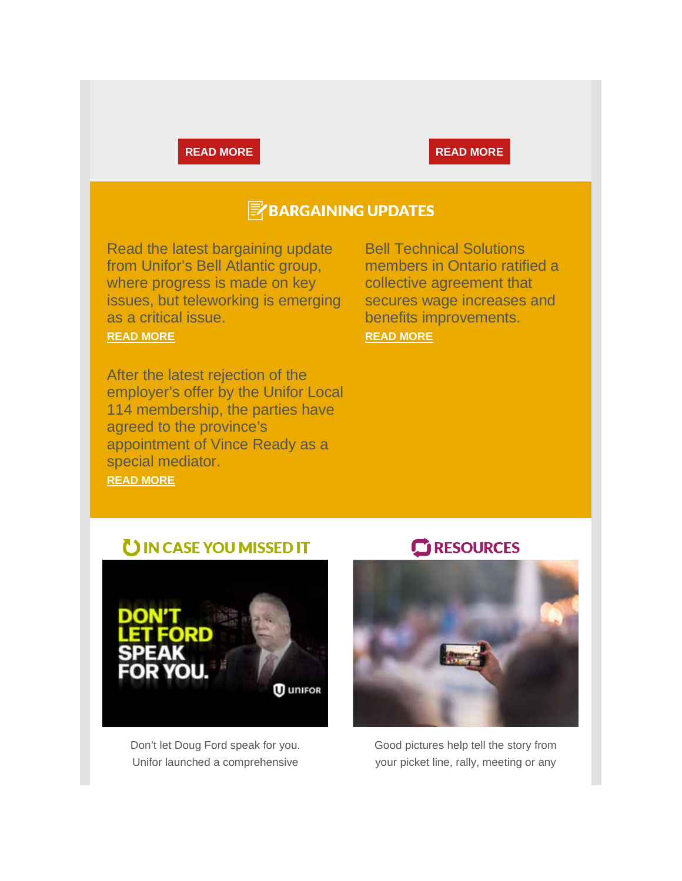#### **READ [MORE](https://www.unifor.org/resources/education/scholarships) READ MORE**

# **E**BARGAINING UPDATES

Read the latest bargaining update from Unifor's Bell Atlantic group, where progress is made on key issues, but teleworking is emerging as a critical issue.

#### **[READ MORE](https://www.unifororg/news/all-news/bell-atlantic-bargaining-bulletin-update-7)**

After the latest rejection of the employer's offer by the Unifor Local 114 membership, the parties have agreed to the province's appointment of Vince Ready as a special mediator. **[READ MORE](https://www.unifor.org/news/all-news/unifor-welcomes-appointment-special-mediator-sea-sky-dispute)**

Bell Technical Solutions members in Ontario ratified a collective agreement that secures wage increases and benefits improvements. **[READ MORE](https://www.unifor.org/news/all-news/bell-technical-solutions-workers-ratify-contract-securing-wage-and-benefits)**

# UIN CASE YOU MISSED IT



Don't let Doug Ford speak for you. Unifor launched a comprehensive

## RESOURCES



Good pictures help tell the story from your picket line, rally, meeting or any